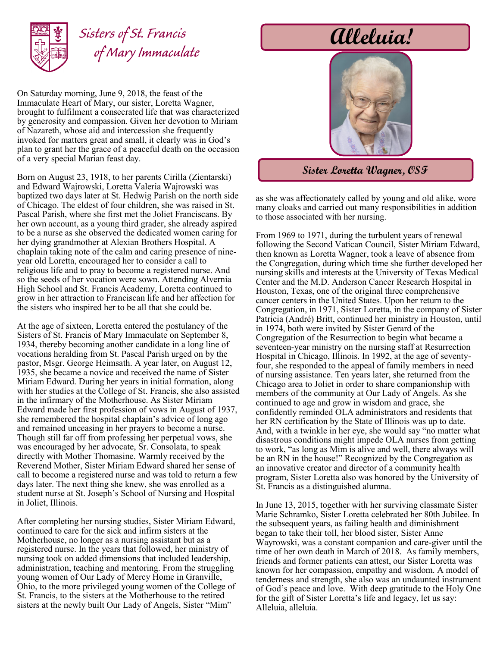

## *Sisters of St. Francis of Mary Immaculate*

On Saturday morning, June 9, 2018, the feast of the Immaculate Heart of Mary, our sister, Loretta Wagner, brought to fulfilment a consecrated life that was characterized by generosity and compassion. Given her devotion to Miriam of Nazareth, whose aid and intercession she frequently invoked for matters great and small, it clearly was in God's plan to grant her the grace of a peaceful death on the occasion of a very special Marian feast day.

Born on August 23, 1918, to her parents Cirilla (Zientarski) and Edward Wajrowski, Loretta Valeria Wajrowski was baptized two days later at St. Hedwig Parish on the north side of Chicago. The eldest of four children, she was raised in St. Pascal Parish, where she first met the Joliet Franciscans. By her own account, as a young third grader, she already aspired to be a nurse as she observed the dedicated women caring for her dying grandmother at Alexian Brothers Hospital. A chaplain taking note of the calm and caring presence of nineyear old Loretta, encouraged her to consider a call to religious life and to pray to become a registered nurse. And so the seeds of her vocation were sown. Attending Alvernia High School and St. Francis Academy, Loretta continued to grow in her attraction to Franciscan life and her affection for the sisters who inspired her to be all that she could be.

At the age of sixteen, Loretta entered the postulancy of the Sisters of St. Francis of Mary Immaculate on September 8, 1934, thereby becoming another candidate in a long line of vocations heralding from St. Pascal Parish urged on by the pastor, Msgr. George Heimsath. A year later, on August 12, 1935, she became a novice and received the name of Sister Miriam Edward. During her years in initial formation, along with her studies at the College of St. Francis, she also assisted in the infirmary of the Motherhouse. As Sister Miriam Edward made her first profession of vows in August of 1937, she remembered the hospital chaplain's advice of long ago and remained unceasing in her prayers to become a nurse. Though still far off from professing her perpetual vows, she was encouraged by her advocate, Sr. Consolata, to speak directly with Mother Thomasine. Warmly received by the Reverend Mother, Sister Miriam Edward shared her sense of call to become a registered nurse and was told to return a few days later. The next thing she knew, she was enrolled as a student nurse at St. Joseph's School of Nursing and Hospital in Joliet, Illinois.

After completing her nursing studies, Sister Miriam Edward, continued to care for the sick and infirm sisters at the Motherhouse, no longer as a nursing assistant but as a registered nurse. In the years that followed, her ministry of nursing took on added dimensions that included leadership, administration, teaching and mentoring. From the struggling young women of Our Lady of Mercy Home in Granville, Ohio, to the more privileged young women of the College of St. Francis, to the sisters at the Motherhouse to the retired sisters at the newly built Our Lady of Angels, Sister "Mim"

## **Alleluia!**



**Sister Loretta Wagner, OSF**

as she was affectionately called by young and old alike, wore many cloaks and carried out many responsibilities in addition to those associated with her nursing.

From 1969 to 1971, during the turbulent years of renewal following the Second Vatican Council, Sister Miriam Edward, then known as Loretta Wagner, took a leave of absence from the Congregation, during which time she further developed her nursing skills and interests at the University of Texas Medical Center and the M.D. Anderson Cancer Research Hospital in Houston, Texas, one of the original three comprehensive cancer centers in the United States. Upon her return to the Congregation, in 1971, Sister Loretta, in the company of Sister Patricia (André) Britt, continued her ministry in Houston, until in 1974, both were invited by Sister Gerard of the Congregation of the Resurrection to begin what became a seventeen-year ministry on the nursing staff at Resurrection Hospital in Chicago, Illinois. In 1992, at the age of seventyfour, she responded to the appeal of family members in need of nursing assistance. Ten years later, she returned from the Chicago area to Joliet in order to share companionship with members of the community at Our Lady of Angels. As she continued to age and grow in wisdom and grace, she confidently reminded OLA administrators and residents that her RN certification by the State of Illinois was up to date. And, with a twinkle in her eye, she would say "no matter what disastrous conditions might impede OLA nurses from getting to work, "as long as Mim is alive and well, there always will be an RN in the house!" Recognized by the Congregation as an innovative creator and director of a community health program, Sister Loretta also was honored by the University of St. Francis as a distinguished alumna.

In June 13, 2015, together with her surviving classmate Sister Marie Schramko, Sister Loretta celebrated her 80th Jubilee. In the subsequent years, as failing health and diminishment began to take their toll, her blood sister, Sister Anne Wayrowski, was a constant companion and care-giver until the time of her own death in March of 2018. As family members, friends and former patients can attest, our Sister Loretta was known for her compassion, empathy and wisdom. A model of tenderness and strength, she also was an undaunted instrument of God's peace and love. With deep gratitude to the Holy One for the gift of Sister Loretta's life and legacy, let us say: Alleluia, alleluia.